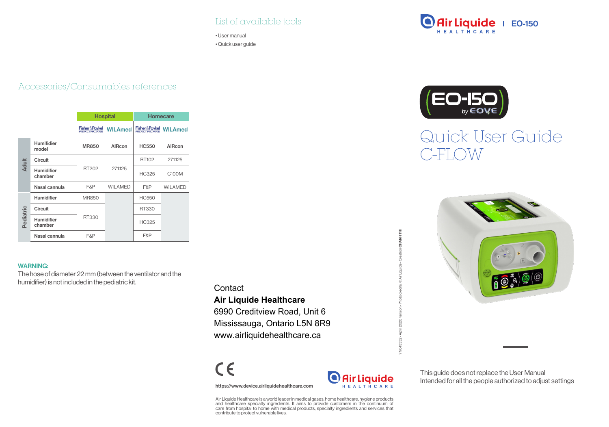## List of available tools

• User manual • Quick user guide

# **Air Liquide** | EO-150



## Quick User Guide C-FLOW



## Accessories/Consumables references

|              |                            | <b>Hospital</b>            |                | <b>Homecare</b> |                |  |
|--------------|----------------------------|----------------------------|----------------|-----------------|----------------|--|
|              |                            | <b>Fisher &amp; Paykel</b> | <b>WILAmed</b> | Fisher&Paykel   | <b>WILAmed</b> |  |
| <b>Adult</b> | <b>Humifidier</b><br>model | <b>MR850</b>               | AIRcon         | <b>HC550</b>    | AlRcon         |  |
|              | Circuit                    |                            |                | RT102           | 271125         |  |
|              | Humidifier<br>chamber      | RT202                      | 271125         | <b>HC325</b>    | C100M          |  |
|              | Nasal cannula              | F&P                        | <b>WILAMED</b> | F&P             | WILAMED        |  |
| Pediatric    | Humidifier                 | <b>MR850</b>               |                | <b>HC550</b>    |                |  |
|              | Circuit                    |                            |                | RT330           |                |  |
|              | Humidifier<br>chamber      | RT330                      |                | <b>HC325</b>    |                |  |
|              | Nasal cannula              | F&P                        |                | F&P             |                |  |

#### WARNING:

The hose of diameter 22 mm (between the ventilator and the humidifier) is not included in the pediatric kit.

## **Contact**

## **Air Liquide Healthcare**

6990 Creditview Road, Unit 6 Mississauga, Ontario L5N 8R9 www.airliquidehealthcare.ca

 $C \in$ 

https://www.device.airliquidehealthcare.com



YN043552 - April 2020 version - Photo credits: © Air Liquide - Creation CHANH THI

č×

CHANHTHI

This guide does not replace the User Manual Intended for all the people authorized to adjust settings

Air Liquide Healthcare is a world leader in medical gases, home healthcare, hygiene products and healthcare specialty ingredients. It aims to provide customers in the continuum of care from hospital to home with medical products, specialty ingredients and services that contribute to protect vulnerable lives.